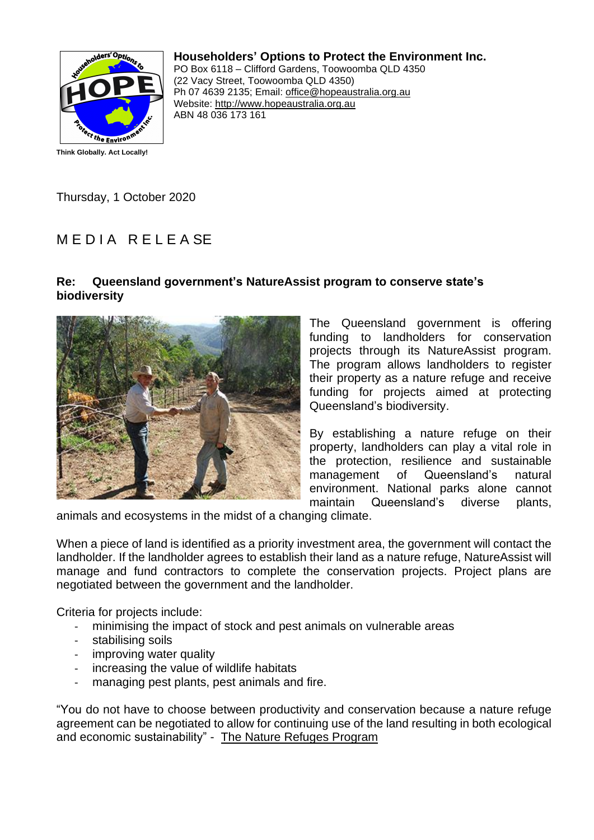

**Householders' Options to Protect the Environment Inc.**

PO Box 6118 – Clifford Gardens, Toowoomba QLD 4350 (22 Vacy Street, Toowoomba QLD 4350) Ph 07 4639 2135; Email: office@hopeaustralia.org.au Website: http://www.hopeaustralia.org.au ABN 48 036 173 161

Thursday, 1 October 2020

## MEDIA RELEASE

## **Re: Queensland government's NatureAssist program to conserve state's biodiversity**



The Queensland government is offering funding to landholders for conservation projects through its NatureAssist program. The program allows landholders to register their property as a nature refuge and receive funding for projects aimed at protecting Queensland's biodiversity.

By establishing a nature refuge on their property, landholders can play a vital role in the protection, resilience and sustainable management of Queensland's natural environment. National parks alone cannot maintain Queensland's diverse plants,

animals and ecosystems in the midst of a changing climate.

When a piece of land is identified as a priority investment area, the government will contact the landholder. If the landholder agrees to establish their land as a nature refuge, NatureAssist will manage and fund contractors to complete the conservation projects. Project plans are negotiated between the government and the landholder.

Criteria for projects include:

- minimising the impact of stock and pest animals on vulnerable areas
- stabilising soils
- improving water quality
- increasing the value of wildlife habitats
- managing pest plants, pest animals and fire.

"You do not have to choose between productivity and conservation because a nature refuge agreement can be negotiated to allow for continuing use of the land resulting in both ecological and economic sustainability" - The Nature Refuges Program